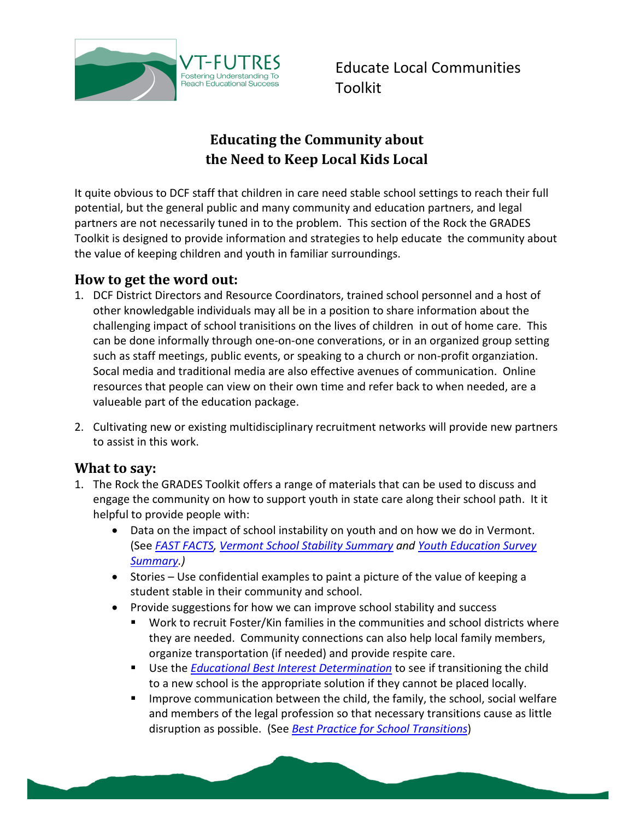

Educate Local Communities Toolkit

# **Educating the Community about the Need to Keep Local Kids Local**

It quite obvious to DCF staff that children in care need stable school settings to reach their full potential, but the general public and many community and education partners, and legal partners are not necessarily tuned in to the problem. This section of the Rock the GRADES Toolkit is designed to provide information and strategies to help educate the community about the value of keeping children and youth in familiar surroundings.

#### **How to get the word out:**

- 1. DCF District Directors and Resource Coordinators, trained school personnel and a host of other knowledgable individuals may all be in a position to share information about the challenging impact of school tranisitions on the lives of children in out of home care. This can be done informally through one-on-one converations, or in an organized group setting such as staff meetings, public events, or speaking to a church or non-profit organziation. Socal media and traditional media are also effective avenues of communication. Online resources that people can view on their own time and refer back to when needed, are a valueable part of the education package.
- 2. Cultivating new or existing multidisciplinary recruitment networks will provide new partners to assist in this work.

#### **What to say:**

- 1. The Rock the GRADES Toolkit offers a range of materials that can be used to discuss and engage the community on how to support youth in state care along their school path. It it helpful to provide people with:
	- Data on the impact of school instability on youth and on how we do in Vermont. (See *[FAST FACTS,](http://vtfutres.org/wp-content/uploads/2013/12/FAST-FACTS-General.pdf) [Vermont School Stability Summary](http://vtfutres.org/wp-content/uploads/2014/08/D-2-Vermont-School-Stability-Summary.pdf) and [Youth Education Survey](http://vtfutres.org/wp-content/uploads/2014/08/D-2-Vermont-School-Stability-Summary.pdf)  [Summary.](http://vtfutres.org/wp-content/uploads/2014/08/D-2-Vermont-School-Stability-Summary.pdf))*
	- Stories Use confidential examples to paint a picture of the value of keeping a student stable in their community and school.
	- Provide suggestions for how we can improve school stability and success
		- Work to recruit Foster/Kin families in the communities and school districts where they are needed. Community connections can also help local family members, organize transportation (if needed) and provide respite care.
		- Use the *[Educational Best Interest Determination](http://vtfutres.org/wp-content/uploads/2014/01/Education-Best-Interest-Determination-Evaluation-Form1-14.pdf)* to see if transitioning the child to a new school is the appropriate solution if they cannot be placed locally.
		- **IMPROVE COMMUNICATION between the child, the family, the school, social welfare** and members of the legal profession so that necessary transitions cause as little disruption as possible. (See *[Best Practice for School Transitions](http://vtfutres.org/wp-content/uploads/2014/03/Best-Practice-for-School-Transitions-3.10.14.pdf)*)